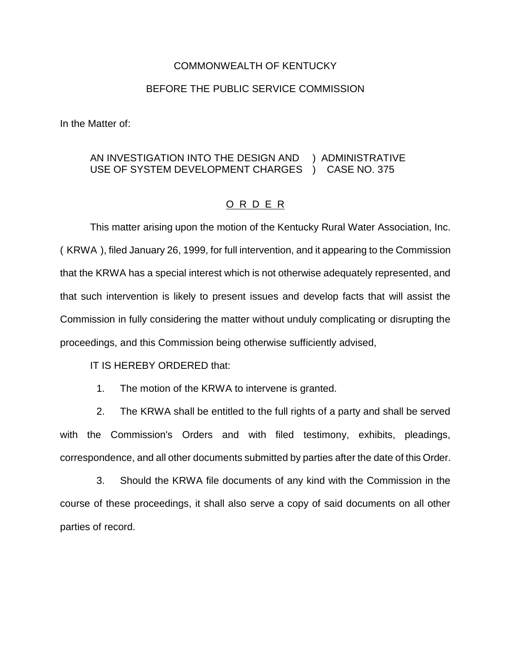## COMMONWEALTH OF KENTUCKY

## BEFORE THE PUBLIC SERVICE COMMISSION

In the Matter of:

## AN INVESTIGATION INTO THE DESIGN AND ) ADMINISTRATIVE USE OF SYSTEM DEVELOPMENT CHARGES ) CASE NO. 375

## O R D E R

This matter arising upon the motion of the Kentucky Rural Water Association, Inc. ( KRWA ), filed January 26, 1999, for full intervention, and it appearing to the Commission that the KRWA has a special interest which is not otherwise adequately represented, and that such intervention is likely to present issues and develop facts that will assist the Commission in fully considering the matter without unduly complicating or disrupting the proceedings, and this Commission being otherwise sufficiently advised,

IT IS HEREBY ORDERED that:

1. The motion of the KRWA to intervene is granted.

2. The KRWA shall be entitled to the full rights of a party and shall be served with the Commission's Orders and with filed testimony, exhibits, pleadings, correspondence, and all other documents submitted by parties after the date of this Order.

3. Should the KRWA file documents of any kind with the Commission in the course of these proceedings, it shall also serve a copy of said documents on all other parties of record.